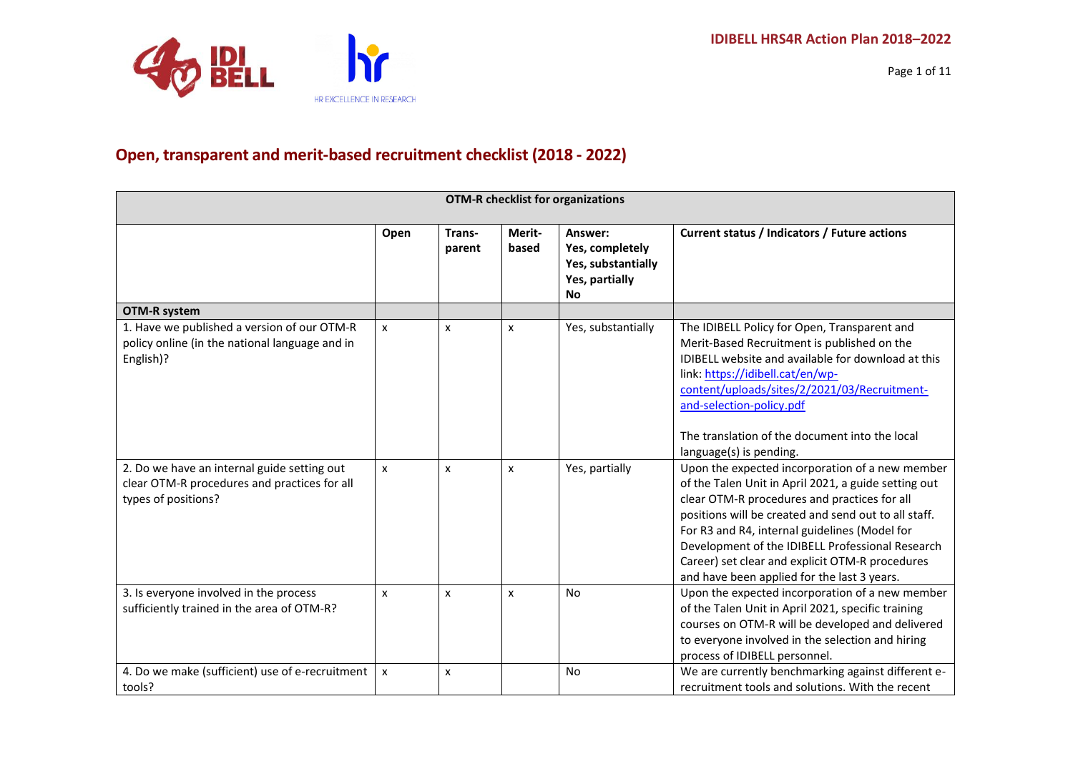

## **Open, transparent and merit-based recruitment checklist (2018 - 2022)**

| <b>OTM-R checklist for organizations</b>                                                                           |      |                  |                 |                                                                                 |                                                                                                                                                                                                                                                                                                                                                                                                                        |  |
|--------------------------------------------------------------------------------------------------------------------|------|------------------|-----------------|---------------------------------------------------------------------------------|------------------------------------------------------------------------------------------------------------------------------------------------------------------------------------------------------------------------------------------------------------------------------------------------------------------------------------------------------------------------------------------------------------------------|--|
|                                                                                                                    | Open | Trans-<br>parent | Merit-<br>based | Answer:<br>Yes, completely<br>Yes, substantially<br>Yes, partially<br><b>No</b> | Current status / Indicators / Future actions                                                                                                                                                                                                                                                                                                                                                                           |  |
| <b>OTM-R system</b>                                                                                                |      |                  |                 |                                                                                 |                                                                                                                                                                                                                                                                                                                                                                                                                        |  |
| 1. Have we published a version of our OTM-R<br>policy online (in the national language and in<br>English)?         | X    | X                | X               | Yes, substantially                                                              | The IDIBELL Policy for Open, Transparent and<br>Merit-Based Recruitment is published on the<br>IDIBELL website and available for download at this<br>link: https://idibell.cat/en/wp-<br>content/uploads/sites/2/2021/03/Recruitment-<br>and-selection-policy.pdf<br>The translation of the document into the local                                                                                                    |  |
|                                                                                                                    |      |                  |                 |                                                                                 | language(s) is pending.                                                                                                                                                                                                                                                                                                                                                                                                |  |
| 2. Do we have an internal guide setting out<br>clear OTM-R procedures and practices for all<br>types of positions? | X    | X                | X               | Yes, partially                                                                  | Upon the expected incorporation of a new member<br>of the Talen Unit in April 2021, a guide setting out<br>clear OTM-R procedures and practices for all<br>positions will be created and send out to all staff.<br>For R3 and R4, internal guidelines (Model for<br>Development of the IDIBELL Professional Research<br>Career) set clear and explicit OTM-R procedures<br>and have been applied for the last 3 years. |  |
| 3. Is everyone involved in the process<br>sufficiently trained in the area of OTM-R?                               | X    | X                | x               | <b>No</b>                                                                       | Upon the expected incorporation of a new member<br>of the Talen Unit in April 2021, specific training<br>courses on OTM-R will be developed and delivered<br>to everyone involved in the selection and hiring<br>process of IDIBELL personnel.                                                                                                                                                                         |  |
| 4. Do we make (sufficient) use of e-recruitment<br>tools?                                                          | X    | X                |                 | No                                                                              | We are currently benchmarking against different e-<br>recruitment tools and solutions. With the recent                                                                                                                                                                                                                                                                                                                 |  |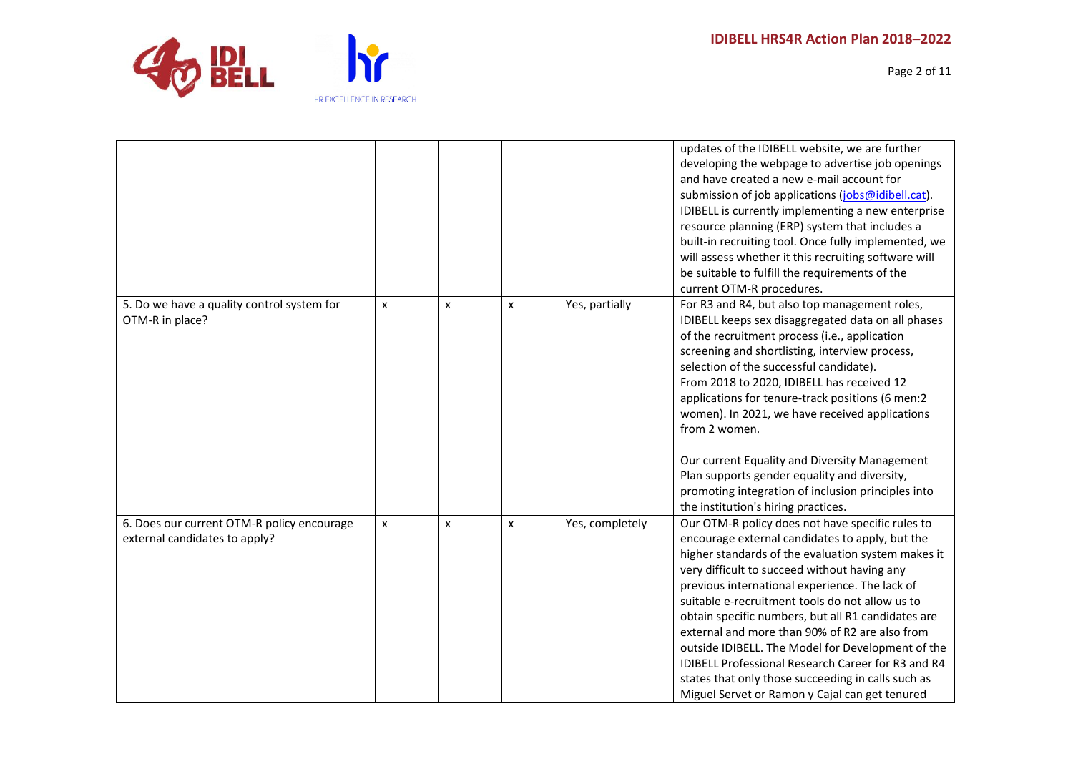

Page 2 of 11

|                                                                             |   |                           |   |                 | updates of the IDIBELL website, we are further<br>developing the webpage to advertise job openings<br>and have created a new e-mail account for<br>submission of job applications (jobs@idibell.cat).<br>IDIBELL is currently implementing a new enterprise<br>resource planning (ERP) system that includes a<br>built-in recruiting tool. Once fully implemented, we<br>will assess whether it this recruiting software will<br>be suitable to fulfill the requirements of the<br>current OTM-R procedures.                                                                                                                              |
|-----------------------------------------------------------------------------|---|---------------------------|---|-----------------|-------------------------------------------------------------------------------------------------------------------------------------------------------------------------------------------------------------------------------------------------------------------------------------------------------------------------------------------------------------------------------------------------------------------------------------------------------------------------------------------------------------------------------------------------------------------------------------------------------------------------------------------|
| 5. Do we have a quality control system for<br>OTM-R in place?               | X | $\boldsymbol{\mathsf{x}}$ | X | Yes, partially  | For R3 and R4, but also top management roles,<br>IDIBELL keeps sex disaggregated data on all phases<br>of the recruitment process (i.e., application<br>screening and shortlisting, interview process,<br>selection of the successful candidate).<br>From 2018 to 2020, IDIBELL has received 12<br>applications for tenure-track positions (6 men:2<br>women). In 2021, we have received applications<br>from 2 women.<br>Our current Equality and Diversity Management<br>Plan supports gender equality and diversity,<br>promoting integration of inclusion principles into<br>the institution's hiring practices.                      |
| 6. Does our current OTM-R policy encourage<br>external candidates to apply? | x | x                         | x | Yes, completely | Our OTM-R policy does not have specific rules to<br>encourage external candidates to apply, but the<br>higher standards of the evaluation system makes it<br>very difficult to succeed without having any<br>previous international experience. The lack of<br>suitable e-recruitment tools do not allow us to<br>obtain specific numbers, but all R1 candidates are<br>external and more than 90% of R2 are also from<br>outside IDIBELL. The Model for Development of the<br>IDIBELL Professional Research Career for R3 and R4<br>states that only those succeeding in calls such as<br>Miguel Servet or Ramon y Cajal can get tenured |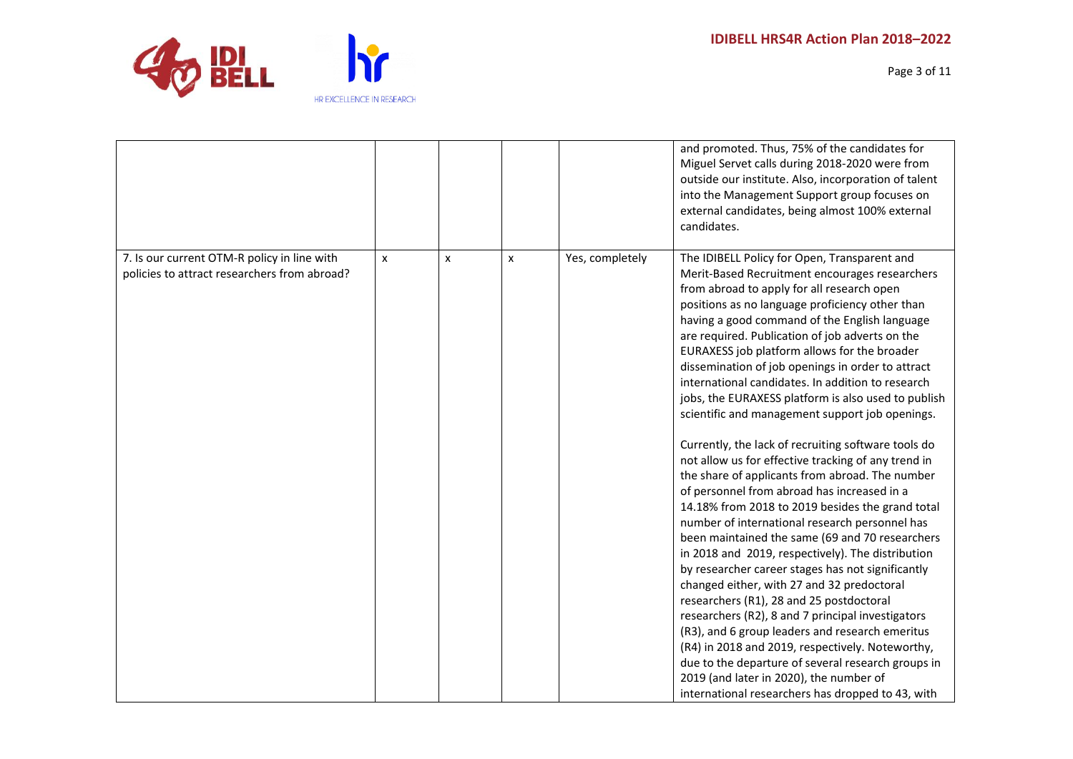

Page 3 of 11

|                                              |   |   |   |                 | and promoted. Thus, 75% of the candidates for<br>Miguel Servet calls during 2018-2020 were from<br>outside our institute. Also, incorporation of talent<br>into the Management Support group focuses on<br>external candidates, being almost 100% external<br>candidates. |
|----------------------------------------------|---|---|---|-----------------|---------------------------------------------------------------------------------------------------------------------------------------------------------------------------------------------------------------------------------------------------------------------------|
| 7. Is our current OTM-R policy in line with  | X | X | x | Yes, completely | The IDIBELL Policy for Open, Transparent and                                                                                                                                                                                                                              |
| policies to attract researchers from abroad? |   |   |   |                 | Merit-Based Recruitment encourages researchers                                                                                                                                                                                                                            |
|                                              |   |   |   |                 | from abroad to apply for all research open                                                                                                                                                                                                                                |
|                                              |   |   |   |                 | positions as no language proficiency other than<br>having a good command of the English language                                                                                                                                                                          |
|                                              |   |   |   |                 | are required. Publication of job adverts on the                                                                                                                                                                                                                           |
|                                              |   |   |   |                 | EURAXESS job platform allows for the broader                                                                                                                                                                                                                              |
|                                              |   |   |   |                 | dissemination of job openings in order to attract                                                                                                                                                                                                                         |
|                                              |   |   |   |                 | international candidates. In addition to research                                                                                                                                                                                                                         |
|                                              |   |   |   |                 | jobs, the EURAXESS platform is also used to publish                                                                                                                                                                                                                       |
|                                              |   |   |   |                 | scientific and management support job openings.                                                                                                                                                                                                                           |
|                                              |   |   |   |                 | Currently, the lack of recruiting software tools do                                                                                                                                                                                                                       |
|                                              |   |   |   |                 | not allow us for effective tracking of any trend in                                                                                                                                                                                                                       |
|                                              |   |   |   |                 | the share of applicants from abroad. The number                                                                                                                                                                                                                           |
|                                              |   |   |   |                 | of personnel from abroad has increased in a                                                                                                                                                                                                                               |
|                                              |   |   |   |                 | 14.18% from 2018 to 2019 besides the grand total                                                                                                                                                                                                                          |
|                                              |   |   |   |                 | number of international research personnel has                                                                                                                                                                                                                            |
|                                              |   |   |   |                 | been maintained the same (69 and 70 researchers<br>in 2018 and 2019, respectively). The distribution                                                                                                                                                                      |
|                                              |   |   |   |                 | by researcher career stages has not significantly                                                                                                                                                                                                                         |
|                                              |   |   |   |                 | changed either, with 27 and 32 predoctoral                                                                                                                                                                                                                                |
|                                              |   |   |   |                 | researchers (R1), 28 and 25 postdoctoral                                                                                                                                                                                                                                  |
|                                              |   |   |   |                 | researchers (R2), 8 and 7 principal investigators                                                                                                                                                                                                                         |
|                                              |   |   |   |                 | (R3), and 6 group leaders and research emeritus                                                                                                                                                                                                                           |
|                                              |   |   |   |                 | (R4) in 2018 and 2019, respectively. Noteworthy,                                                                                                                                                                                                                          |
|                                              |   |   |   |                 | due to the departure of several research groups in                                                                                                                                                                                                                        |
|                                              |   |   |   |                 | 2019 (and later in 2020), the number of                                                                                                                                                                                                                                   |
|                                              |   |   |   |                 | international researchers has dropped to 43, with                                                                                                                                                                                                                         |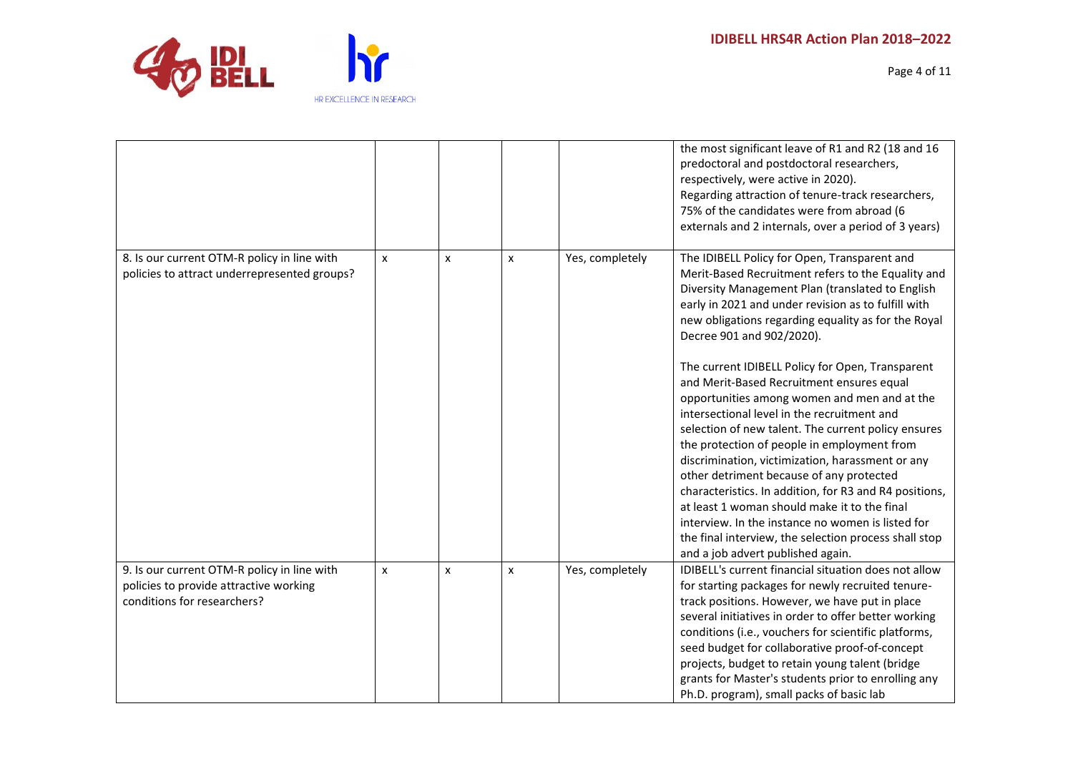

Page 4 of 11

|                                                                                                                      |              |                           |                |                 | the most significant leave of R1 and R2 (18 and 16<br>predoctoral and postdoctoral researchers,<br>respectively, were active in 2020).<br>Regarding attraction of tenure-track researchers,<br>75% of the candidates were from abroad (6<br>externals and 2 internals, over a period of 3 years)                                                                                                                                                                                                                                                                                                                                                                                                                                                                                                                                                                                                                                                                     |
|----------------------------------------------------------------------------------------------------------------------|--------------|---------------------------|----------------|-----------------|----------------------------------------------------------------------------------------------------------------------------------------------------------------------------------------------------------------------------------------------------------------------------------------------------------------------------------------------------------------------------------------------------------------------------------------------------------------------------------------------------------------------------------------------------------------------------------------------------------------------------------------------------------------------------------------------------------------------------------------------------------------------------------------------------------------------------------------------------------------------------------------------------------------------------------------------------------------------|
| 8. Is our current OTM-R policy in line with<br>policies to attract underrepresented groups?                          | $\mathsf{x}$ | $\boldsymbol{\mathsf{x}}$ | X              | Yes, completely | The IDIBELL Policy for Open, Transparent and<br>Merit-Based Recruitment refers to the Equality and<br>Diversity Management Plan (translated to English<br>early in 2021 and under revision as to fulfill with<br>new obligations regarding equality as for the Royal<br>Decree 901 and 902/2020).<br>The current IDIBELL Policy for Open, Transparent<br>and Merit-Based Recruitment ensures equal<br>opportunities among women and men and at the<br>intersectional level in the recruitment and<br>selection of new talent. The current policy ensures<br>the protection of people in employment from<br>discrimination, victimization, harassment or any<br>other detriment because of any protected<br>characteristics. In addition, for R3 and R4 positions,<br>at least 1 woman should make it to the final<br>interview. In the instance no women is listed for<br>the final interview, the selection process shall stop<br>and a job advert published again. |
| 9. Is our current OTM-R policy in line with<br>policies to provide attractive working<br>conditions for researchers? | X            | X                         | $\pmb{\times}$ | Yes, completely | <b>IDIBELL's current financial situation does not allow</b><br>for starting packages for newly recruited tenure-<br>track positions. However, we have put in place<br>several initiatives in order to offer better working<br>conditions (i.e., vouchers for scientific platforms,<br>seed budget for collaborative proof-of-concept<br>projects, budget to retain young talent (bridge<br>grants for Master's students prior to enrolling any<br>Ph.D. program), small packs of basic lab                                                                                                                                                                                                                                                                                                                                                                                                                                                                           |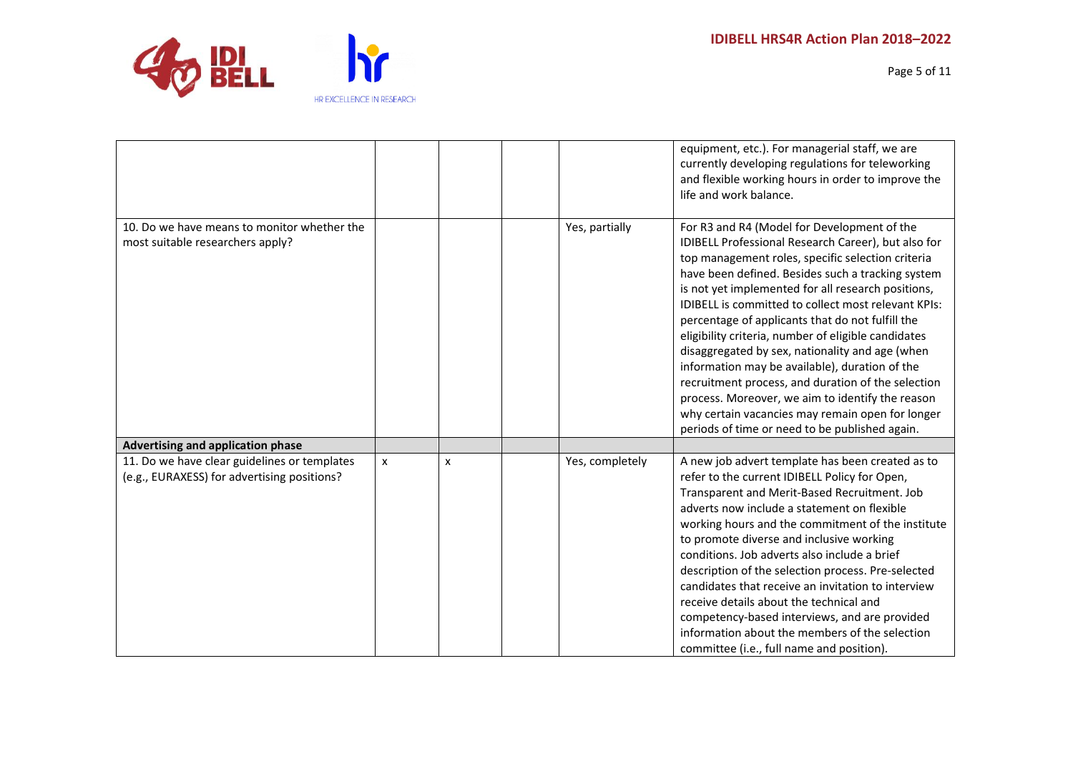

Page 5 of 11

|                                                                                             |   |   |                 | equipment, etc.). For managerial staff, we are<br>currently developing regulations for teleworking<br>and flexible working hours in order to improve the<br>life and work balance.                                                                                                                                                                                                                                                                                                                                                                                                                                                                                                                                                                               |
|---------------------------------------------------------------------------------------------|---|---|-----------------|------------------------------------------------------------------------------------------------------------------------------------------------------------------------------------------------------------------------------------------------------------------------------------------------------------------------------------------------------------------------------------------------------------------------------------------------------------------------------------------------------------------------------------------------------------------------------------------------------------------------------------------------------------------------------------------------------------------------------------------------------------------|
| 10. Do we have means to monitor whether the<br>most suitable researchers apply?             |   |   | Yes, partially  | For R3 and R4 (Model for Development of the<br>IDIBELL Professional Research Career), but also for<br>top management roles, specific selection criteria<br>have been defined. Besides such a tracking system<br>is not yet implemented for all research positions,<br><b>IDIBELL is committed to collect most relevant KPIs:</b><br>percentage of applicants that do not fulfill the<br>eligibility criteria, number of eligible candidates<br>disaggregated by sex, nationality and age (when<br>information may be available), duration of the<br>recruitment process, and duration of the selection<br>process. Moreover, we aim to identify the reason<br>why certain vacancies may remain open for longer<br>periods of time or need to be published again. |
| <b>Advertising and application phase</b>                                                    |   |   |                 |                                                                                                                                                                                                                                                                                                                                                                                                                                                                                                                                                                                                                                                                                                                                                                  |
| 11. Do we have clear guidelines or templates<br>(e.g., EURAXESS) for advertising positions? | x | x | Yes, completely | A new job advert template has been created as to<br>refer to the current IDIBELL Policy for Open,<br>Transparent and Merit-Based Recruitment. Job<br>adverts now include a statement on flexible<br>working hours and the commitment of the institute<br>to promote diverse and inclusive working<br>conditions. Job adverts also include a brief<br>description of the selection process. Pre-selected<br>candidates that receive an invitation to interview<br>receive details about the technical and<br>competency-based interviews, and are provided<br>information about the members of the selection<br>committee (i.e., full name and position).                                                                                                         |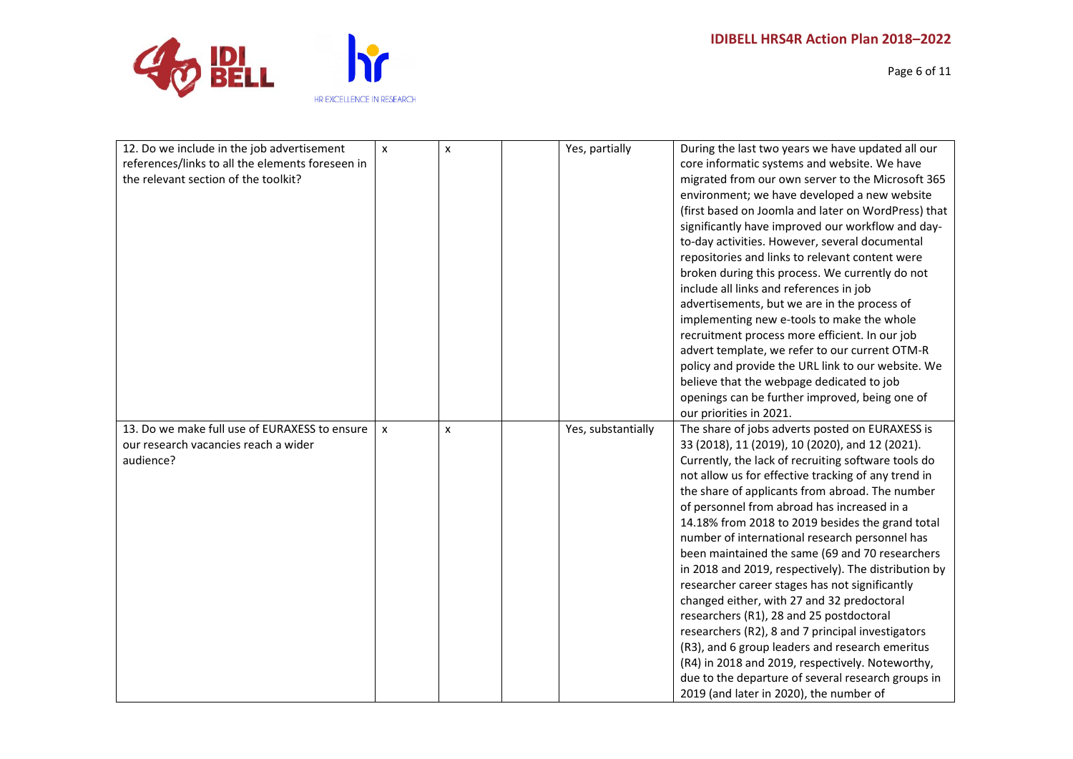Page 6 of 11

| 12. Do we include in the job advertisement<br>references/links to all the elements foreseen in<br>the relevant section of the toolkit? | X            | $\mathsf{x}$ | Yes, partially     | During the last two years we have updated all our<br>core informatic systems and website. We have<br>migrated from our own server to the Microsoft 365<br>environment; we have developed a new website<br>(first based on Joomla and later on WordPress) that<br>significantly have improved our workflow and day-<br>to-day activities. However, several documental<br>repositories and links to relevant content were<br>broken during this process. We currently do not<br>include all links and references in job<br>advertisements, but we are in the process of<br>implementing new e-tools to make the whole<br>recruitment process more efficient. In our job<br>advert template, we refer to our current OTM-R<br>policy and provide the URL link to our website. We                                                                                                                                                                |
|----------------------------------------------------------------------------------------------------------------------------------------|--------------|--------------|--------------------|----------------------------------------------------------------------------------------------------------------------------------------------------------------------------------------------------------------------------------------------------------------------------------------------------------------------------------------------------------------------------------------------------------------------------------------------------------------------------------------------------------------------------------------------------------------------------------------------------------------------------------------------------------------------------------------------------------------------------------------------------------------------------------------------------------------------------------------------------------------------------------------------------------------------------------------------|
|                                                                                                                                        |              |              |                    | believe that the webpage dedicated to job<br>openings can be further improved, being one of<br>our priorities in 2021.                                                                                                                                                                                                                                                                                                                                                                                                                                                                                                                                                                                                                                                                                                                                                                                                                       |
| 13. Do we make full use of EURAXESS to ensure<br>our research vacancies reach a wider<br>audience?                                     | $\mathsf{x}$ | X            | Yes, substantially | The share of jobs adverts posted on EURAXESS is<br>33 (2018), 11 (2019), 10 (2020), and 12 (2021).<br>Currently, the lack of recruiting software tools do<br>not allow us for effective tracking of any trend in<br>the share of applicants from abroad. The number<br>of personnel from abroad has increased in a<br>14.18% from 2018 to 2019 besides the grand total<br>number of international research personnel has<br>been maintained the same (69 and 70 researchers<br>in 2018 and 2019, respectively). The distribution by<br>researcher career stages has not significantly<br>changed either, with 27 and 32 predoctoral<br>researchers (R1), 28 and 25 postdoctoral<br>researchers (R2), 8 and 7 principal investigators<br>(R3), and 6 group leaders and research emeritus<br>(R4) in 2018 and 2019, respectively. Noteworthy,<br>due to the departure of several research groups in<br>2019 (and later in 2020), the number of |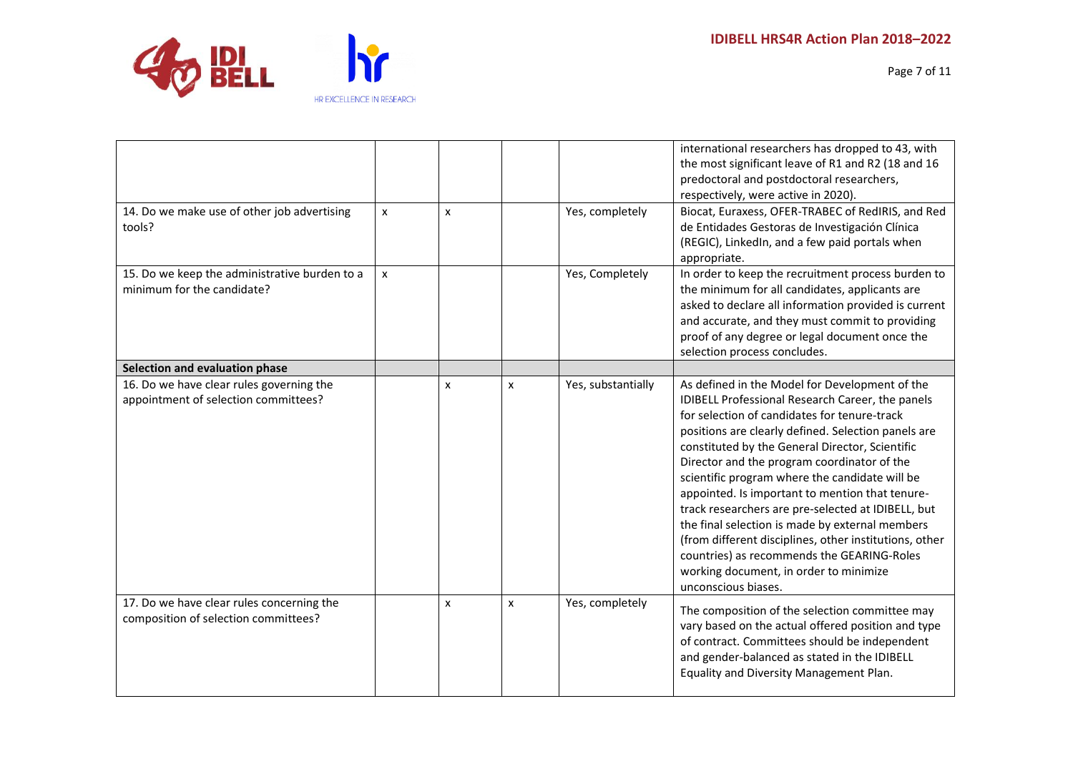

Page 7 of 11

|                                                                                   |   |   |                    |                    | international researchers has dropped to 43, with<br>the most significant leave of R1 and R2 (18 and 16<br>predoctoral and postdoctoral researchers,<br>respectively, were active in 2020).                                                                                                                                                                                                                                                                                                                                                                                                                                                                                                        |
|-----------------------------------------------------------------------------------|---|---|--------------------|--------------------|----------------------------------------------------------------------------------------------------------------------------------------------------------------------------------------------------------------------------------------------------------------------------------------------------------------------------------------------------------------------------------------------------------------------------------------------------------------------------------------------------------------------------------------------------------------------------------------------------------------------------------------------------------------------------------------------------|
| 14. Do we make use of other job advertising<br>tools?                             | x | X |                    | Yes, completely    | Biocat, Euraxess, OFER-TRABEC of RedIRIS, and Red<br>de Entidades Gestoras de Investigación Clínica<br>(REGIC), LinkedIn, and a few paid portals when<br>appropriate.                                                                                                                                                                                                                                                                                                                                                                                                                                                                                                                              |
| 15. Do we keep the administrative burden to a<br>minimum for the candidate?       | x |   |                    | Yes, Completely    | In order to keep the recruitment process burden to<br>the minimum for all candidates, applicants are<br>asked to declare all information provided is current<br>and accurate, and they must commit to providing<br>proof of any degree or legal document once the<br>selection process concludes.                                                                                                                                                                                                                                                                                                                                                                                                  |
| Selection and evaluation phase                                                    |   |   |                    |                    |                                                                                                                                                                                                                                                                                                                                                                                                                                                                                                                                                                                                                                                                                                    |
| 16. Do we have clear rules governing the<br>appointment of selection committees?  |   | X | $\pmb{\times}$     | Yes, substantially | As defined in the Model for Development of the<br>IDIBELL Professional Research Career, the panels<br>for selection of candidates for tenure-track<br>positions are clearly defined. Selection panels are<br>constituted by the General Director, Scientific<br>Director and the program coordinator of the<br>scientific program where the candidate will be<br>appointed. Is important to mention that tenure-<br>track researchers are pre-selected at IDIBELL, but<br>the final selection is made by external members<br>(from different disciplines, other institutions, other<br>countries) as recommends the GEARING-Roles<br>working document, in order to minimize<br>unconscious biases. |
| 17. Do we have clear rules concerning the<br>composition of selection committees? |   | X | $\pmb{\mathsf{x}}$ | Yes, completely    | The composition of the selection committee may<br>vary based on the actual offered position and type<br>of contract. Committees should be independent<br>and gender-balanced as stated in the IDIBELL<br>Equality and Diversity Management Plan.                                                                                                                                                                                                                                                                                                                                                                                                                                                   |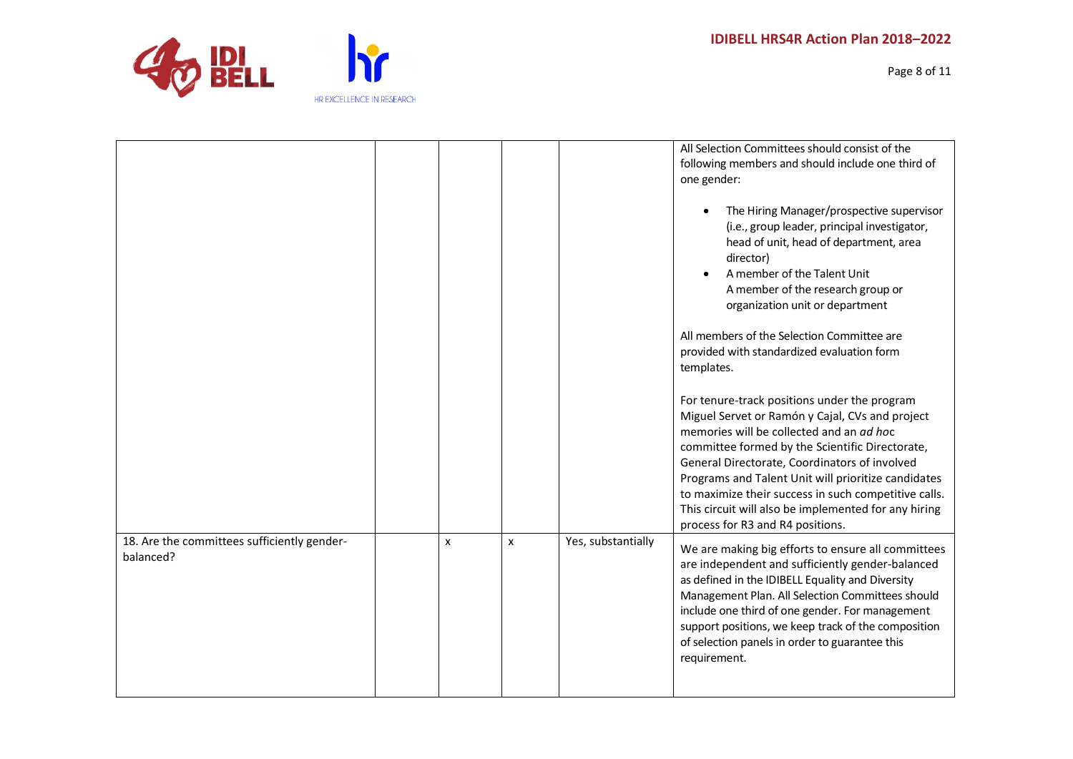

| HR EXCELLENCE IN RESEARCH |
|---------------------------|

|                                                          |                |   |                    | All Selection Committees should consist of the<br>following members and should include one third of<br>one gender:<br>The Hiring Manager/prospective supervisor<br>(i.e., group leader, principal investigator,<br>head of unit, head of department, area<br>director)<br>A member of the Talent Unit<br>A member of the research group or<br>organization unit or department<br>All members of the Selection Committee are<br>provided with standardized evaluation form<br>templates.<br>For tenure-track positions under the program<br>Miguel Servet or Ramón y Cajal, CVs and project<br>memories will be collected and an ad hoc<br>committee formed by the Scientific Directorate,<br>General Directorate, Coordinators of involved<br>Programs and Talent Unit will prioritize candidates<br>to maximize their success in such competitive calls.<br>This circuit will also be implemented for any hiring<br>process for R3 and R4 positions. |
|----------------------------------------------------------|----------------|---|--------------------|-------------------------------------------------------------------------------------------------------------------------------------------------------------------------------------------------------------------------------------------------------------------------------------------------------------------------------------------------------------------------------------------------------------------------------------------------------------------------------------------------------------------------------------------------------------------------------------------------------------------------------------------------------------------------------------------------------------------------------------------------------------------------------------------------------------------------------------------------------------------------------------------------------------------------------------------------------|
| 18. Are the committees sufficiently gender-<br>balanced? | $\pmb{\times}$ | x | Yes, substantially | We are making big efforts to ensure all committees<br>are independent and sufficiently gender-balanced<br>as defined in the IDIBELL Equality and Diversity<br>Management Plan. All Selection Committees should<br>include one third of one gender. For management<br>support positions, we keep track of the composition<br>of selection panels in order to guarantee this<br>requirement.                                                                                                                                                                                                                                                                                                                                                                                                                                                                                                                                                            |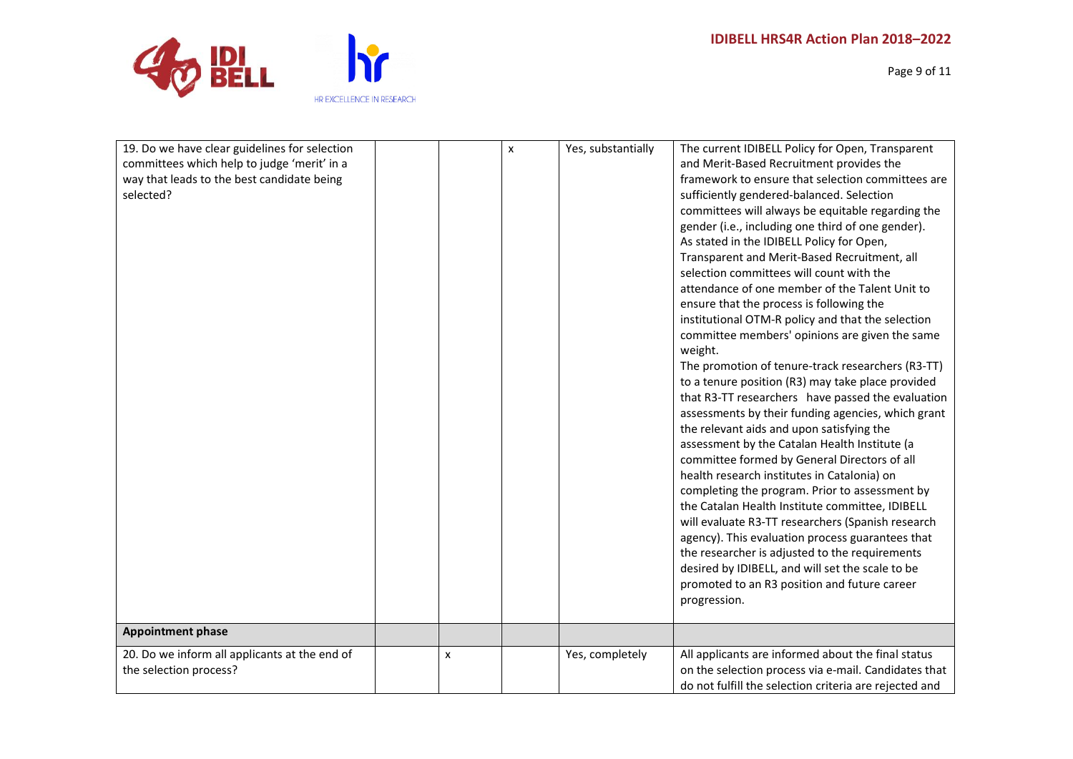

Page 9 of 11

| 19. Do we have clear guidelines for selection |                           | X | Yes, substantially | The current IDIBELL Policy for Open, Transparent       |
|-----------------------------------------------|---------------------------|---|--------------------|--------------------------------------------------------|
| committees which help to judge 'merit' in a   |                           |   |                    | and Merit-Based Recruitment provides the               |
| way that leads to the best candidate being    |                           |   |                    | framework to ensure that selection committees are      |
| selected?                                     |                           |   |                    | sufficiently gendered-balanced. Selection              |
|                                               |                           |   |                    | committees will always be equitable regarding the      |
|                                               |                           |   |                    | gender (i.e., including one third of one gender).      |
|                                               |                           |   |                    | As stated in the IDIBELL Policy for Open,              |
|                                               |                           |   |                    | Transparent and Merit-Based Recruitment, all           |
|                                               |                           |   |                    | selection committees will count with the               |
|                                               |                           |   |                    | attendance of one member of the Talent Unit to         |
|                                               |                           |   |                    | ensure that the process is following the               |
|                                               |                           |   |                    | institutional OTM-R policy and that the selection      |
|                                               |                           |   |                    | committee members' opinions are given the same         |
|                                               |                           |   |                    | weight.                                                |
|                                               |                           |   |                    | The promotion of tenure-track researchers (R3-TT)      |
|                                               |                           |   |                    | to a tenure position (R3) may take place provided      |
|                                               |                           |   |                    | that R3-TT researchers have passed the evaluation      |
|                                               |                           |   |                    | assessments by their funding agencies, which grant     |
|                                               |                           |   |                    | the relevant aids and upon satisfying the              |
|                                               |                           |   |                    | assessment by the Catalan Health Institute (a          |
|                                               |                           |   |                    | committee formed by General Directors of all           |
|                                               |                           |   |                    | health research institutes in Catalonia) on            |
|                                               |                           |   |                    | completing the program. Prior to assessment by         |
|                                               |                           |   |                    | the Catalan Health Institute committee, IDIBELL        |
|                                               |                           |   |                    | will evaluate R3-TT researchers (Spanish research      |
|                                               |                           |   |                    | agency). This evaluation process guarantees that       |
|                                               |                           |   |                    | the researcher is adjusted to the requirements         |
|                                               |                           |   |                    | desired by IDIBELL, and will set the scale to be       |
|                                               |                           |   |                    | promoted to an R3 position and future career           |
|                                               |                           |   |                    | progression.                                           |
|                                               |                           |   |                    |                                                        |
| <b>Appointment phase</b>                      |                           |   |                    |                                                        |
| 20. Do we inform all applicants at the end of | $\boldsymbol{\mathsf{x}}$ |   | Yes, completely    | All applicants are informed about the final status     |
| the selection process?                        |                           |   |                    | on the selection process via e-mail. Candidates that   |
|                                               |                           |   |                    | do not fulfill the selection criteria are rejected and |